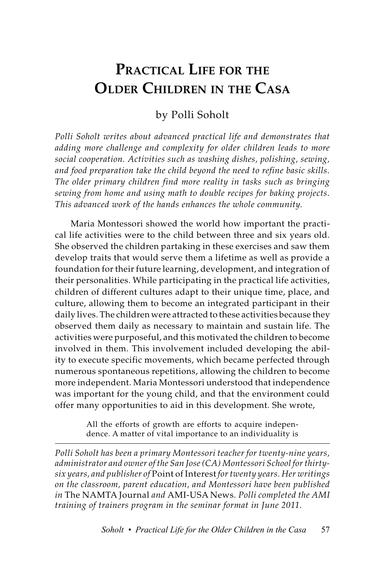# **Practical Life for the Older Children in the Casa**

## by Polli Soholt

*Polli Soholt writes about advanced practical life and demonstrates that adding more challenge and complexity for older children leads to more social cooperation. Activities such as washing dishes, polishing, sewing, and food preparation take the child beyond the need to refine basic skills. The older primary children find more reality in tasks such as bringing sewing from home and using math to double recipes for baking projects. This advanced work of the hands enhances the whole community.* 

Maria Montessori showed the world how important the practical life activities were to the child between three and six years old. She observed the children partaking in these exercises and saw them develop traits that would serve them a lifetime as well as provide a foundation for their future learning, development, and integration of their personalities. While participating in the practical life activities, children of different cultures adapt to their unique time, place, and culture, allowing them to become an integrated participant in their daily lives. The children were attracted to these activities because they observed them daily as necessary to maintain and sustain life. The activities were purposeful, and this motivated the children to become involved in them. This involvement included developing the ability to execute specific movements, which became perfected through numerous spontaneous repetitions, allowing the children to become more independent. Maria Montessori understood that independence was important for the young child, and that the environment could offer many opportunities to aid in this development. She wrote,

> All the efforts of growth are efforts to acquire independence. A matter of vital importance to an individuality is

*Polli Soholt has been a primary Montessori teacher for twenty-nine years, administrator and owner of the San Jose (CA) Montessori School for thirtysix years, and publisher of* Point of Interest *for twenty years. Her writings on the classroom, parent education, and Montessori have been published in* The NAMTA Journal *and* AMI-USA News*. Polli completed the AMI training of trainers program in the seminar format in June 2011.*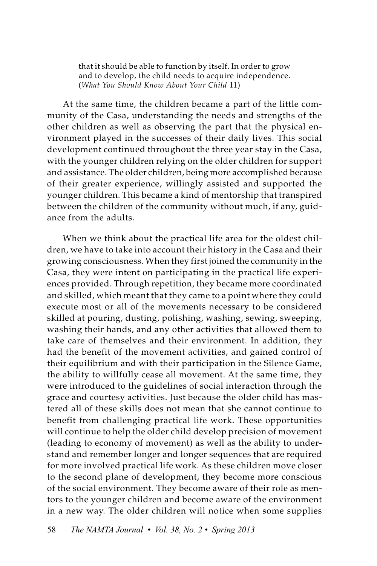that it should be able to function by itself. In order to grow and to develop, the child needs to acquire independence. (*What You Should Know About Your Child* 11)

At the same time, the children became a part of the little community of the Casa, understanding the needs and strengths of the other children as well as observing the part that the physical environment played in the successes of their daily lives. This social development continued throughout the three year stay in the Casa, with the younger children relying on the older children for support and assistance. The older children, being more accomplished because of their greater experience, willingly assisted and supported the younger children. This became a kind of mentorship that transpired between the children of the community without much, if any, guidance from the adults.

When we think about the practical life area for the oldest children, we have to take into account their history in the Casa and their growing consciousness. When they first joined the community in the Casa, they were intent on participating in the practical life experiences provided. Through repetition, they became more coordinated and skilled, which meant that they came to a point where they could execute most or all of the movements necessary to be considered skilled at pouring, dusting, polishing, washing, sewing, sweeping, washing their hands, and any other activities that allowed them to take care of themselves and their environment. In addition, they had the benefit of the movement activities, and gained control of their equilibrium and with their participation in the Silence Game, the ability to willfully cease all movement. At the same time, they were introduced to the guidelines of social interaction through the grace and courtesy activities. Just because the older child has mastered all of these skills does not mean that she cannot continue to benefit from challenging practical life work. These opportunities will continue to help the older child develop precision of movement (leading to economy of movement) as well as the ability to understand and remember longer and longer sequences that are required for more involved practical life work. As these children move closer to the second plane of development, they become more conscious of the social environment. They become aware of their role as mentors to the younger children and become aware of the environment in a new way. The older children will notice when some supplies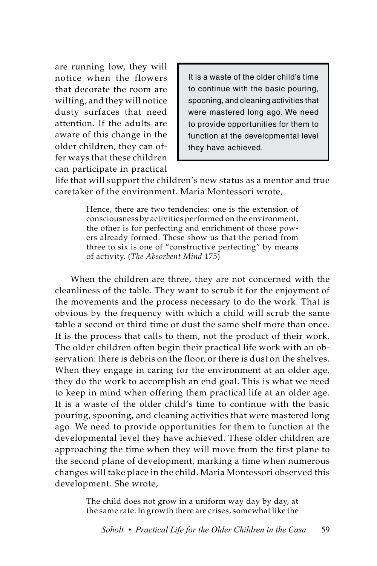are running low, they will notice when the flowers that decorate the room are wilting, and they will notice dusty surfaces that need attention. If the adults are aware of this change in the older children, they can offer ways that these children can participate in practical

It is a waste of the older child's time to continue with the basic pouring, spooning, and cleaning activities that were mastered long ago. We need to provide opportunities for them to function at the developmental level they have achieved.

life that will support the children's new status as a mentor and true caretaker of the environment. Maria Montessori wrote,

> Hence, there are two tendencies: one is the extension of consciousness by activities performed on the environment, the other is for perfecting and enrichment of those powers already formed. These show us that the period from three to six is one of "constructive perfecting" by means of activity. (*The Absorbent Mind* 175)

When the children are three, they are not concerned with the cleanliness of the table. They want to scrub it for the enjoyment of the movements and the process necessary to do the work. That is obvious by the frequency with which a child will scrub the same table a second or third time or dust the same shelf more than once. It is the process that calls to them, not the product of their work. The older children often begin their practical life work with an observation: there is debris on the floor, or there is dust on the shelves. When they engage in caring for the environment at an older age, they do the work to accomplish an end goal. This is what we need to keep in mind when offering them practical life at an older age. It is a waste of the older child's time to continue with the basic pouring, spooning, and cleaning activities that were mastered long ago. We need to provide opportunities for them to function at the developmental level they have achieved. These older children are approaching the time when they will move from the first plane to the second plane of development, marking a time when numerous changes will take place in the child. Maria Montessori observed this development. She wrote,

> The child does not grow in a uniform way day by day, at the same rate. In growth there are crises, somewhat like the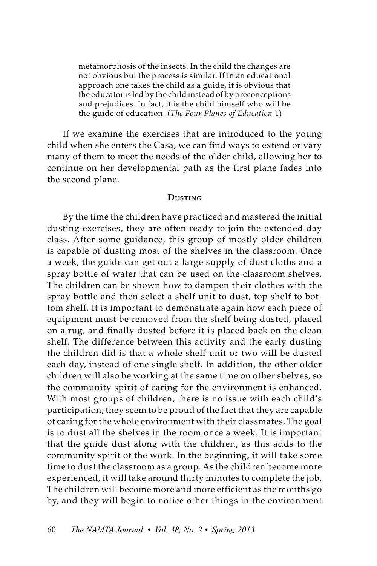metamorphosis of the insects. In the child the changes are not obvious but the process is similar. If in an educational approach one takes the child as a guide, it is obvious that the educator is led by the child instead of by preconceptions and prejudices. In fact, it is the child himself who will be the guide of education. (*The Four Planes of Education* 1)

If we examine the exercises that are introduced to the young child when she enters the Casa, we can find ways to extend or vary many of them to meet the needs of the older child, allowing her to continue on her developmental path as the first plane fades into the second plane.

#### **Dusting**

By the time the children have practiced and mastered the initial dusting exercises, they are often ready to join the extended day class. After some guidance, this group of mostly older children is capable of dusting most of the shelves in the classroom. Once a week, the guide can get out a large supply of dust cloths and a spray bottle of water that can be used on the classroom shelves. The children can be shown how to dampen their clothes with the spray bottle and then select a shelf unit to dust, top shelf to bottom shelf. It is important to demonstrate again how each piece of equipment must be removed from the shelf being dusted, placed on a rug, and finally dusted before it is placed back on the clean shelf. The difference between this activity and the early dusting the children did is that a whole shelf unit or two will be dusted each day, instead of one single shelf. In addition, the other older children will also be working at the same time on other shelves, so the community spirit of caring for the environment is enhanced. With most groups of children, there is no issue with each child's participation; they seem to be proud of the fact that they are capable of caring for the whole environment with their classmates. The goal is to dust all the shelves in the room once a week. It is important that the guide dust along with the children, as this adds to the community spirit of the work. In the beginning, it will take some time to dust the classroom as a group. As the children become more experienced, it will take around thirty minutes to complete the job. The children will become more and more efficient as the months go by, and they will begin to notice other things in the environment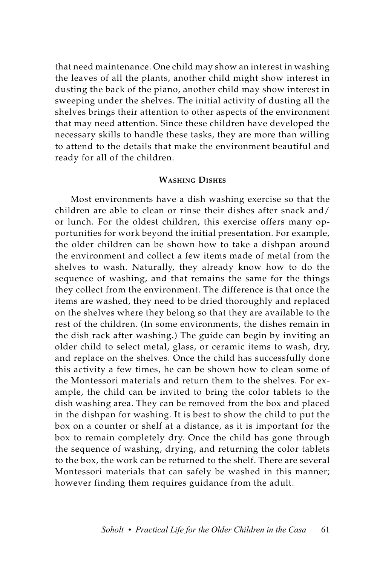that need maintenance. One child may show an interest in washing the leaves of all the plants, another child might show interest in dusting the back of the piano, another child may show interest in sweeping under the shelves. The initial activity of dusting all the shelves brings their attention to other aspects of the environment that may need attention. Since these children have developed the necessary skills to handle these tasks, they are more than willing to attend to the details that make the environment beautiful and ready for all of the children.

#### **Washing Dishes**

Most environments have a dish washing exercise so that the children are able to clean or rinse their dishes after snack and/ or lunch. For the oldest children, this exercise offers many opportunities for work beyond the initial presentation. For example, the older children can be shown how to take a dishpan around the environment and collect a few items made of metal from the shelves to wash. Naturally, they already know how to do the sequence of washing, and that remains the same for the things they collect from the environment. The difference is that once the items are washed, they need to be dried thoroughly and replaced on the shelves where they belong so that they are available to the rest of the children. (In some environments, the dishes remain in the dish rack after washing.) The guide can begin by inviting an older child to select metal, glass, or ceramic items to wash, dry, and replace on the shelves. Once the child has successfully done this activity a few times, he can be shown how to clean some of the Montessori materials and return them to the shelves. For example, the child can be invited to bring the color tablets to the dish washing area. They can be removed from the box and placed in the dishpan for washing. It is best to show the child to put the box on a counter or shelf at a distance, as it is important for the box to remain completely dry. Once the child has gone through the sequence of washing, drying, and returning the color tablets to the box, the work can be returned to the shelf. There are several Montessori materials that can safely be washed in this manner; however finding them requires guidance from the adult.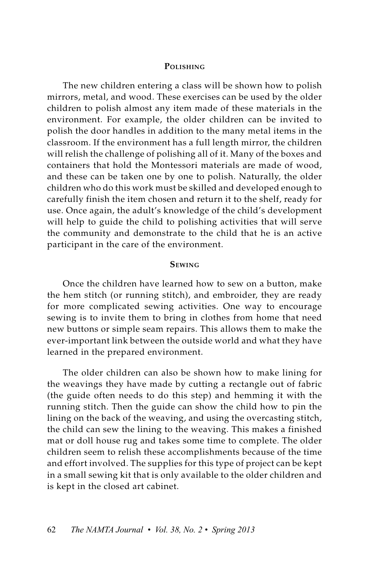#### **Polishing**

The new children entering a class will be shown how to polish mirrors, metal, and wood. These exercises can be used by the older children to polish almost any item made of these materials in the environment. For example, the older children can be invited to polish the door handles in addition to the many metal items in the classroom. If the environment has a full length mirror, the children will relish the challenge of polishing all of it. Many of the boxes and containers that hold the Montessori materials are made of wood, and these can be taken one by one to polish. Naturally, the older children who do this work must be skilled and developed enough to carefully finish the item chosen and return it to the shelf, ready for use. Once again, the adult's knowledge of the child's development will help to guide the child to polishing activities that will serve the community and demonstrate to the child that he is an active participant in the care of the environment.

#### **Sewing**

Once the children have learned how to sew on a button, make the hem stitch (or running stitch), and embroider, they are ready for more complicated sewing activities. One way to encourage sewing is to invite them to bring in clothes from home that need new buttons or simple seam repairs. This allows them to make the ever-important link between the outside world and what they have learned in the prepared environment.

The older children can also be shown how to make lining for the weavings they have made by cutting a rectangle out of fabric (the guide often needs to do this step) and hemming it with the running stitch. Then the guide can show the child how to pin the lining on the back of the weaving, and using the overcasting stitch, the child can sew the lining to the weaving. This makes a finished mat or doll house rug and takes some time to complete. The older children seem to relish these accomplishments because of the time and effort involved. The supplies for this type of project can be kept in a small sewing kit that is only available to the older children and is kept in the closed art cabinet.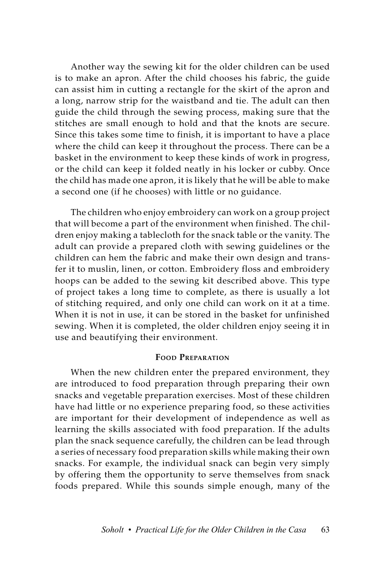Another way the sewing kit for the older children can be used is to make an apron. After the child chooses his fabric, the guide can assist him in cutting a rectangle for the skirt of the apron and a long, narrow strip for the waistband and tie. The adult can then guide the child through the sewing process, making sure that the stitches are small enough to hold and that the knots are secure. Since this takes some time to finish, it is important to have a place where the child can keep it throughout the process. There can be a basket in the environment to keep these kinds of work in progress, or the child can keep it folded neatly in his locker or cubby. Once the child has made one apron, it is likely that he will be able to make a second one (if he chooses) with little or no guidance.

The children who enjoy embroidery can work on a group project that will become a part of the environment when finished. The children enjoy making a tablecloth for the snack table or the vanity. The adult can provide a prepared cloth with sewing guidelines or the children can hem the fabric and make their own design and transfer it to muslin, linen, or cotton. Embroidery floss and embroidery hoops can be added to the sewing kit described above. This type of project takes a long time to complete, as there is usually a lot of stitching required, and only one child can work on it at a time. When it is not in use, it can be stored in the basket for unfinished sewing. When it is completed, the older children enjoy seeing it in use and beautifying their environment.

### **Food Preparation**

When the new children enter the prepared environment, they are introduced to food preparation through preparing their own snacks and vegetable preparation exercises. Most of these children have had little or no experience preparing food, so these activities are important for their development of independence as well as learning the skills associated with food preparation. If the adults plan the snack sequence carefully, the children can be lead through a series of necessary food preparation skills while making their own snacks. For example, the individual snack can begin very simply by offering them the opportunity to serve themselves from snack foods prepared. While this sounds simple enough, many of the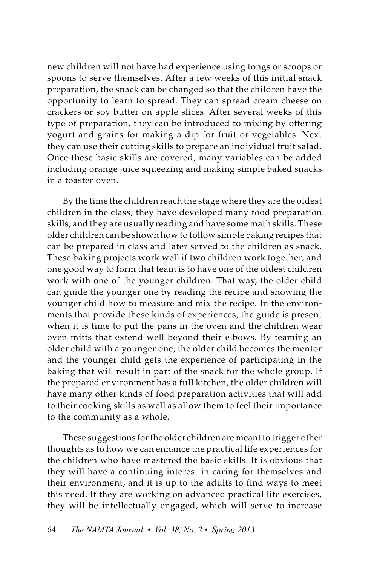new children will not have had experience using tongs or scoops or spoons to serve themselves. After a few weeks of this initial snack preparation, the snack can be changed so that the children have the opportunity to learn to spread. They can spread cream cheese on crackers or soy butter on apple slices. After several weeks of this type of preparation, they can be introduced to mixing by offering yogurt and grains for making a dip for fruit or vegetables. Next they can use their cutting skills to prepare an individual fruit salad. Once these basic skills are covered, many variables can be added including orange juice squeezing and making simple baked snacks in a toaster oven.

By the time the children reach the stage where they are the oldest children in the class, they have developed many food preparation skills, and they are usually reading and have some math skills. These older children can be shown how to follow simple baking recipes that can be prepared in class and later served to the children as snack. These baking projects work well if two children work together, and one good way to form that team is to have one of the oldest children work with one of the younger children. That way, the older child can guide the younger one by reading the recipe and showing the younger child how to measure and mix the recipe. In the environments that provide these kinds of experiences, the guide is present when it is time to put the pans in the oven and the children wear oven mitts that extend well beyond their elbows. By teaming an older child with a younger one, the older child becomes the mentor and the younger child gets the experience of participating in the baking that will result in part of the snack for the whole group. If the prepared environment has a full kitchen, the older children will have many other kinds of food preparation activities that will add to their cooking skills as well as allow them to feel their importance to the community as a whole.

These suggestions for the older children are meant to trigger other thoughts as to how we can enhance the practical life experiences for the children who have mastered the basic skills. It is obvious that they will have a continuing interest in caring for themselves and their environment, and it is up to the adults to find ways to meet this need. If they are working on advanced practical life exercises, they will be intellectually engaged, which will serve to increase